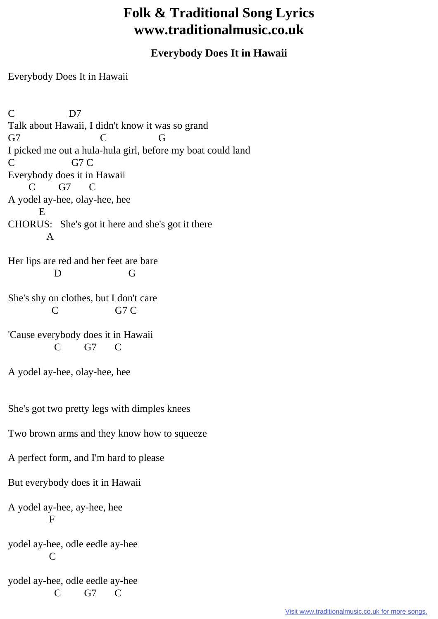## **Folk & Traditional Song Lyrics www.traditionalmusic.co.uk**

## **Everybody Does It in Hawaii**

Everybody Does It in Hawaii

C D7 Talk about Hawaii, I didn't know it was so grand G7 C G I picked me out a hula-hula girl, before my boat could land C G7 C Everybody does it in Hawaii C G7 C A yodel ay-hee, olay-hee, hee E CHORUS: She's got it here and she's got it there A Her lips are red and her feet are bare D G She's shy on clothes, but I don't care C G7 C 'Cause everybody does it in Hawaii C G7 C A yodel ay-hee, olay-hee, hee She's got two pretty legs with dimples knees Two brown arms and they know how to squeeze A perfect form, and I'm hard to please But everybody does it in Hawaii A yodel ay-hee, ay-hee, hee F yodel ay-hee, odle eedle ay-hee  $\Gamma$ yodel ay-hee, odle eedle ay-hee C G7 C